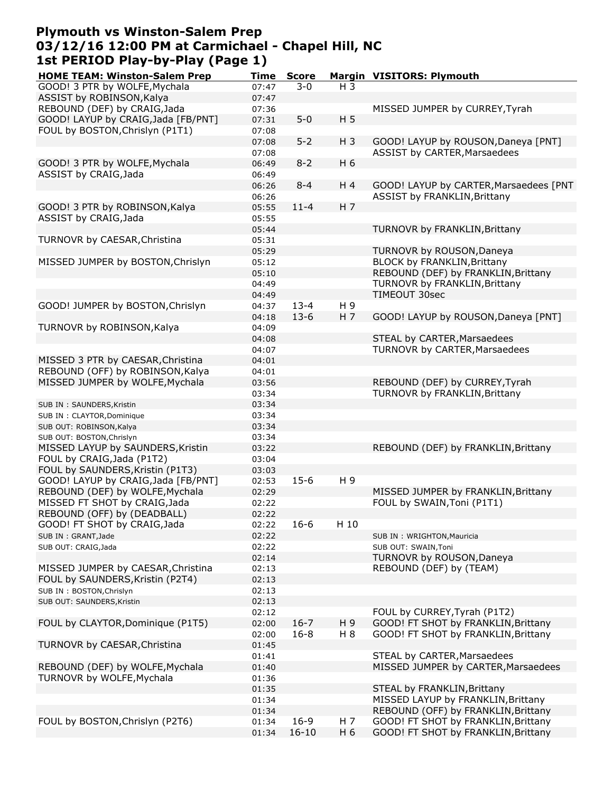### **Plymouth vs Winston-Salem Prep 03/12/16 12:00 PM at Carmichael - Chapel Hill, NC 1st PERIOD Play-by-Play (Page 1)**

| <b>HOME TEAM: Winston-Salem Prep</b> | Time  | <b>Score</b> |                | Margin VISITORS: Plymouth              |
|--------------------------------------|-------|--------------|----------------|----------------------------------------|
| GOOD! 3 PTR by WOLFE, Mychala        | 07:47 | 3-0          | $H_3$          |                                        |
| ASSIST by ROBINSON, Kalya            | 07:47 |              |                |                                        |
| REBOUND (DEF) by CRAIG, Jada         | 07:36 |              |                | MISSED JUMPER by CURREY, Tyrah         |
| GOOD! LAYUP by CRAIG, Jada [FB/PNT]  | 07:31 | $5-0$        | H <sub>5</sub> |                                        |
| FOUL by BOSTON, Chrislyn (P1T1)      | 07:08 |              |                |                                        |
|                                      | 07:08 | $5 - 2$      | $H_3$          | GOOD! LAYUP by ROUSON, Daneya [PNT]    |
|                                      | 07:08 |              |                | ASSIST by CARTER, Marsaedees           |
| GOOD! 3 PTR by WOLFE, Mychala        | 06:49 | $8 - 2$      | H 6            |                                        |
| ASSIST by CRAIG, Jada                | 06:49 |              |                |                                        |
|                                      | 06:26 | $8 - 4$      | H 4            | GOOD! LAYUP by CARTER, Marsaedees [PNT |
|                                      | 06:26 |              |                | <b>ASSIST by FRANKLIN, Brittany</b>    |
| GOOD! 3 PTR by ROBINSON, Kalya       | 05:55 | $11 - 4$     | H <sub>7</sub> |                                        |
| ASSIST by CRAIG, Jada                |       |              |                |                                        |
|                                      | 05:55 |              |                |                                        |
|                                      | 05:44 |              |                | TURNOVR by FRANKLIN, Brittany          |
| TURNOVR by CAESAR, Christina         | 05:31 |              |                |                                        |
|                                      | 05:29 |              |                | TURNOVR by ROUSON, Daneya              |
| MISSED JUMPER by BOSTON, Chrislyn    | 05:12 |              |                | <b>BLOCK by FRANKLIN, Brittany</b>     |
|                                      | 05:10 |              |                | REBOUND (DEF) by FRANKLIN, Brittany    |
|                                      | 04:49 |              |                | TURNOVR by FRANKLIN, Brittany          |
|                                      | 04:49 |              |                | TIMEOUT 30sec                          |
| GOOD! JUMPER by BOSTON, Chrislyn     | 04:37 | $13 - 4$     | H 9            |                                        |
|                                      | 04:18 | $13-6$       | H <sub>7</sub> | GOOD! LAYUP by ROUSON, Daneya [PNT]    |
| TURNOVR by ROBINSON, Kalya           | 04:09 |              |                |                                        |
|                                      | 04:08 |              |                | STEAL by CARTER, Marsaedees            |
|                                      | 04:07 |              |                | TURNOVR by CARTER, Marsaedees          |
| MISSED 3 PTR by CAESAR, Christina    | 04:01 |              |                |                                        |
| REBOUND (OFF) by ROBINSON, Kalya     | 04:01 |              |                |                                        |
| MISSED JUMPER by WOLFE, Mychala      | 03:56 |              |                | REBOUND (DEF) by CURREY, Tyrah         |
|                                      | 03:34 |              |                | TURNOVR by FRANKLIN, Brittany          |
| SUB IN : SAUNDERS, Kristin           | 03:34 |              |                |                                        |
| SUB IN : CLAYTOR, Dominique          | 03:34 |              |                |                                        |
| SUB OUT: ROBINSON, Kalya             | 03:34 |              |                |                                        |
| SUB OUT: BOSTON, Chrislyn            | 03:34 |              |                |                                        |
| MISSED LAYUP by SAUNDERS, Kristin    | 03:22 |              |                | REBOUND (DEF) by FRANKLIN, Brittany    |
| FOUL by CRAIG, Jada (P1T2)           | 03:04 |              |                |                                        |
| FOUL by SAUNDERS, Kristin (P1T3)     | 03:03 |              |                |                                        |
| GOOD! LAYUP by CRAIG, Jada [FB/PNT]  | 02:53 | $15-6$       | H 9            |                                        |
| REBOUND (DEF) by WOLFE, Mychala      | 02:29 |              |                | MISSED JUMPER by FRANKLIN, Brittany    |
| MISSED FT SHOT by CRAIG, Jada        | 02:22 |              |                | FOUL by SWAIN, Toni (P1T1)             |
| REBOUND (OFF) by (DEADBALL)          | 02:22 |              |                |                                        |
| GOOD! FT SHOT by CRAIG, Jada         | 02:22 | $16 - 6$     | H 10           |                                        |
|                                      | 02:22 |              |                |                                        |
| SUB IN: GRANT, Jade                  |       |              |                | SUB IN: WRIGHTON, Mauricia             |
| SUB OUT: CRAIG, Jada                 | 02:22 |              |                | SUB OUT: SWAIN, Toni                   |
|                                      | 02:14 |              |                | TURNOVR by ROUSON, Daneya              |
| MISSED JUMPER by CAESAR, Christina   | 02:13 |              |                | REBOUND (DEF) by (TEAM)                |
| FOUL by SAUNDERS, Kristin (P2T4)     | 02:13 |              |                |                                        |
| SUB IN: BOSTON, Chrislyn             | 02:13 |              |                |                                        |
| SUB OUT: SAUNDERS, Kristin           | 02:13 |              |                |                                        |
|                                      | 02:12 |              |                | FOUL by CURREY, Tyrah (P1T2)           |
| FOUL by CLAYTOR, Dominique (P1T5)    | 02:00 | $16 - 7$     | H 9            | GOOD! FT SHOT by FRANKLIN, Brittany    |
|                                      | 02:00 | $16 - 8$     | H 8            | GOOD! FT SHOT by FRANKLIN, Brittany    |
| TURNOVR by CAESAR, Christina         | 01:45 |              |                |                                        |
|                                      | 01:41 |              |                | STEAL by CARTER, Marsaedees            |
| REBOUND (DEF) by WOLFE, Mychala      | 01:40 |              |                | MISSED JUMPER by CARTER, Marsaedees    |
| TURNOVR by WOLFE, Mychala            | 01:36 |              |                |                                        |
|                                      | 01:35 |              |                | STEAL by FRANKLIN, Brittany            |
|                                      | 01:34 |              |                | MISSED LAYUP by FRANKLIN, Brittany     |
|                                      | 01:34 |              |                | REBOUND (OFF) by FRANKLIN, Brittany    |
| FOUL by BOSTON, Chrislyn (P2T6)      | 01:34 | $16-9$       | H 7            | GOOD! FT SHOT by FRANKLIN, Brittany    |
|                                      | 01:34 | $16 - 10$    | H 6            | GOOD! FT SHOT by FRANKLIN, Brittany    |
|                                      |       |              |                |                                        |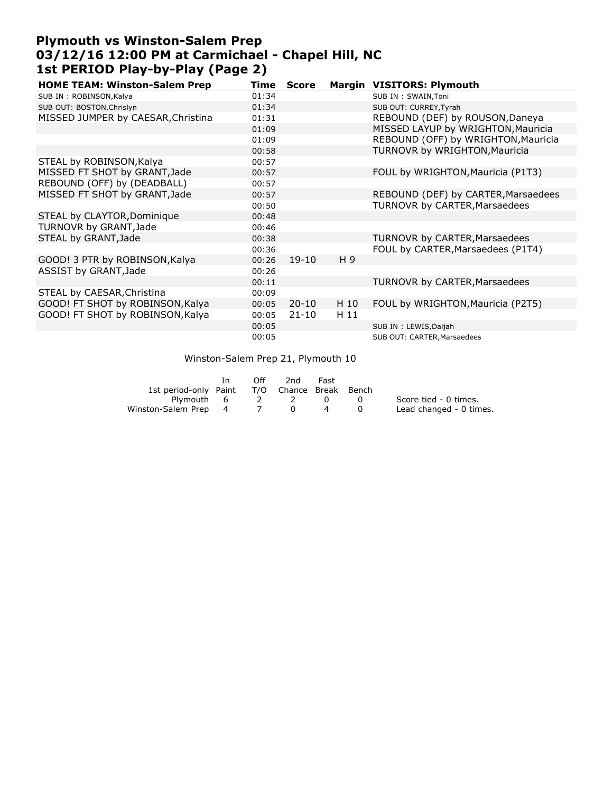### **Plymouth vs Winston-Salem Prep 03/12/16 12:00 PM at Carmichael - Chapel Hill, NC 1st PERIOD Play-by-Play (Page 2)**

| <b>HOME TEAM: Winston-Salem Prep</b> | Time  | <b>Score</b> |      | Margin VISITORS: Plymouth           |
|--------------------------------------|-------|--------------|------|-------------------------------------|
| SUB IN: ROBINSON, Kalya              | 01:34 |              |      | SUB IN : SWAIN, Toni                |
| SUB OUT: BOSTON, Chrislyn            | 01:34 |              |      | SUB OUT: CURREY, Tyrah              |
| MISSED JUMPER by CAESAR, Christina   | 01:31 |              |      | REBOUND (DEF) by ROUSON, Daneya     |
|                                      | 01:09 |              |      | MISSED LAYUP by WRIGHTON, Mauricia  |
|                                      | 01:09 |              |      | REBOUND (OFF) by WRIGHTON, Mauricia |
|                                      | 00:58 |              |      | TURNOVR by WRIGHTON, Mauricia       |
| STEAL by ROBINSON, Kalya             | 00:57 |              |      |                                     |
| MISSED FT SHOT by GRANT, Jade        | 00:57 |              |      | FOUL by WRIGHTON, Mauricia (P1T3)   |
| REBOUND (OFF) by (DEADBALL)          | 00:57 |              |      |                                     |
| MISSED FT SHOT by GRANT, Jade        | 00:57 |              |      | REBOUND (DEF) by CARTER, Marsaedees |
|                                      | 00:50 |              |      | TURNOVR by CARTER, Marsaedees       |
| STEAL by CLAYTOR, Dominique          | 00:48 |              |      |                                     |
| TURNOVR by GRANT, Jade               | 00:46 |              |      |                                     |
| STEAL by GRANT, Jade                 | 00:38 |              |      | TURNOVR by CARTER, Marsaedees       |
|                                      | 00:36 |              |      | FOUL by CARTER, Marsaedees (P1T4)   |
| GOOD! 3 PTR by ROBINSON, Kalya       | 00:26 | $19-10$      | H 9  |                                     |
| ASSIST by GRANT, Jade                | 00:26 |              |      |                                     |
|                                      | 00:11 |              |      | TURNOVR by CARTER, Marsaedees       |
| STEAL by CAESAR, Christina           | 00:09 |              |      |                                     |
| GOOD! FT SHOT by ROBINSON, Kalya     | 00:05 | $20 - 10$    | H 10 | FOUL by WRIGHTON, Mauricia (P2T5)   |
| GOOD! FT SHOT by ROBINSON, Kalya     | 00:05 | $21 - 10$    | H 11 |                                     |
|                                      | 00:05 |              |      | SUB IN: LEWIS, Daijah               |
|                                      | 00:05 |              |      | SUB OUT: CARTER, Marsaedees         |

Winston-Salem Prep 21, Plymouth 10

|                                              | In. | Off            | 2nd | Fast |     |                         |
|----------------------------------------------|-----|----------------|-----|------|-----|-------------------------|
| 1st period-only Paint T/O Chance Break Bench |     |                |     |      |     |                         |
| Plymouth 6                                   |     |                | 2 2 |      | - 0 | Score tied - 0 times.   |
| Winston-Salem Prep 4                         |     | $\overline{7}$ |     |      |     | Lead changed - 0 times. |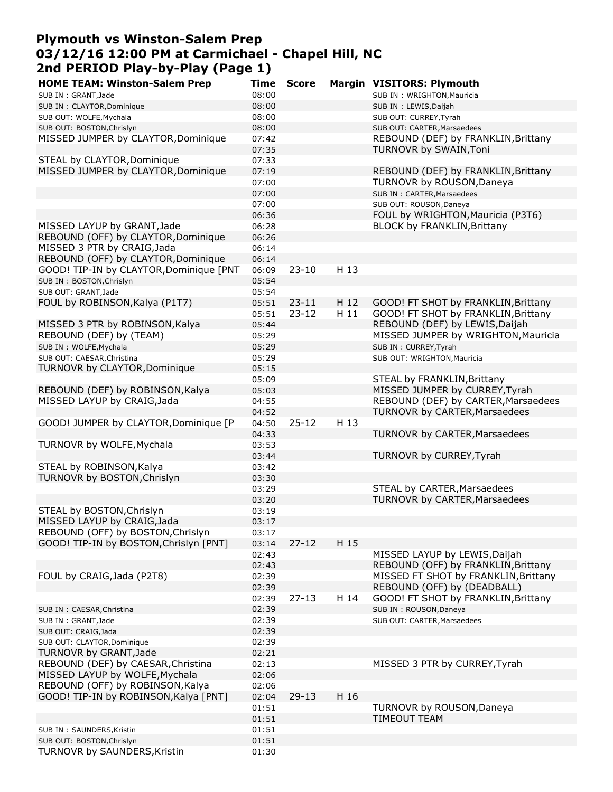# **Plymouth vs Winston-Salem Prep 03/12/16 12:00 PM at Carmichael - Chapel Hill, NC 2nd PERIOD Play-by-Play (Page 1)**

| <b>HOME TEAM: Winston-Salem Prep</b>    | Time  | <b>Score</b> |      | Margin VISITORS: Plymouth            |
|-----------------------------------------|-------|--------------|------|--------------------------------------|
| SUB IN: GRANT, Jade                     | 08:00 |              |      | SUB IN: WRIGHTON, Mauricia           |
| SUB IN : CLAYTOR, Dominique             | 08:00 |              |      | SUB IN : LEWIS, Daijah               |
| SUB OUT: WOLFE, Mychala                 | 08:00 |              |      | SUB OUT: CURREY, Tyrah               |
| SUB OUT: BOSTON, Chrislyn               | 08:00 |              |      | SUB OUT: CARTER, Marsaedees          |
| MISSED JUMPER by CLAYTOR, Dominique     | 07:42 |              |      | REBOUND (DEF) by FRANKLIN, Brittany  |
|                                         | 07:35 |              |      | TURNOVR by SWAIN, Toni               |
| STEAL by CLAYTOR, Dominique             | 07:33 |              |      |                                      |
| MISSED JUMPER by CLAYTOR, Dominique     | 07:19 |              |      | REBOUND (DEF) by FRANKLIN, Brittany  |
|                                         | 07:00 |              |      | TURNOVR by ROUSON, Daneya            |
|                                         | 07:00 |              |      | SUB IN: CARTER, Marsaedees           |
|                                         | 07:00 |              |      | SUB OUT: ROUSON, Daneya              |
|                                         | 06:36 |              |      | FOUL by WRIGHTON, Mauricia (P3T6)    |
| MISSED LAYUP by GRANT, Jade             | 06:28 |              |      | <b>BLOCK by FRANKLIN, Brittany</b>   |
| REBOUND (OFF) by CLAYTOR, Dominique     | 06:26 |              |      |                                      |
| MISSED 3 PTR by CRAIG, Jada             | 06:14 |              |      |                                      |
| REBOUND (OFF) by CLAYTOR, Dominique     | 06:14 |              |      |                                      |
| GOOD! TIP-IN by CLAYTOR, Dominique [PNT | 06:09 | $23 - 10$    | H 13 |                                      |
| SUB IN: BOSTON, Chrislyn                | 05:54 |              |      |                                      |
| SUB OUT: GRANT, Jade                    | 05:54 |              |      |                                      |
| FOUL by ROBINSON, Kalya (P1T7)          | 05:51 | $23 - 11$    | H 12 | GOOD! FT SHOT by FRANKLIN, Brittany  |
|                                         | 05:51 | $23 - 12$    | H 11 | GOOD! FT SHOT by FRANKLIN, Brittany  |
| MISSED 3 PTR by ROBINSON, Kalya         | 05:44 |              |      | REBOUND (DEF) by LEWIS, Daijah       |
|                                         | 05:29 |              |      | MISSED JUMPER by WRIGHTON, Mauricia  |
| REBOUND (DEF) by (TEAM)                 |       |              |      |                                      |
| SUB IN: WOLFE, Mychala                  | 05:29 |              |      | SUB IN: CURREY, Tyrah                |
| SUB OUT: CAESAR, Christina              | 05:29 |              |      | SUB OUT: WRIGHTON, Mauricia          |
| TURNOVR by CLAYTOR, Dominique           | 05:15 |              |      |                                      |
|                                         | 05:09 |              |      | STEAL by FRANKLIN, Brittany          |
| REBOUND (DEF) by ROBINSON, Kalya        | 05:03 |              |      | MISSED JUMPER by CURREY, Tyrah       |
| MISSED LAYUP by CRAIG, Jada             | 04:55 |              |      | REBOUND (DEF) by CARTER, Marsaedees  |
|                                         | 04:52 |              |      | TURNOVR by CARTER, Marsaedees        |
| GOOD! JUMPER by CLAYTOR, Dominique [P   | 04:50 | $25 - 12$    | H 13 |                                      |
|                                         | 04:33 |              |      | TURNOVR by CARTER, Marsaedees        |
| TURNOVR by WOLFE, Mychala               | 03:53 |              |      |                                      |
|                                         | 03:44 |              |      | TURNOVR by CURREY, Tyrah             |
| STEAL by ROBINSON, Kalya                | 03:42 |              |      |                                      |
| TURNOVR by BOSTON, Chrislyn             | 03:30 |              |      |                                      |
|                                         | 03:29 |              |      | STEAL by CARTER, Marsaedees          |
|                                         | 03:20 |              |      | TURNOVR by CARTER, Marsaedees        |
| STEAL by BOSTON, Chrislyn               | 03:19 |              |      |                                      |
| MISSED LAYUP by CRAIG, Jada             | 03:17 |              |      |                                      |
| REBOUND (OFF) by BOSTON, Chrislyn       | 03:17 |              |      |                                      |
| GOOD! TIP-IN by BOSTON, Chrislyn [PNT]  | 03:14 | $27 - 12$    | H 15 |                                      |
|                                         | 02:43 |              |      | MISSED LAYUP by LEWIS, Daijah        |
|                                         | 02:43 |              |      | REBOUND (OFF) by FRANKLIN, Brittany  |
| FOUL by CRAIG, Jada (P2T8)              | 02:39 |              |      | MISSED FT SHOT by FRANKLIN, Brittany |
|                                         | 02:39 |              |      | REBOUND (OFF) by (DEADBALL)          |
|                                         | 02:39 | $27 - 13$    | H 14 | GOOD! FT SHOT by FRANKLIN, Brittany  |
| SUB IN : CAESAR, Christina              | 02:39 |              |      | SUB IN: ROUSON, Daneya               |
| SUB IN: GRANT, Jade                     | 02:39 |              |      | SUB OUT: CARTER, Marsaedees          |
| SUB OUT: CRAIG, Jada                    | 02:39 |              |      |                                      |
| SUB OUT: CLAYTOR, Dominique             | 02:39 |              |      |                                      |
| TURNOVR by GRANT, Jade                  | 02:21 |              |      |                                      |
| REBOUND (DEF) by CAESAR, Christina      | 02:13 |              |      | MISSED 3 PTR by CURREY, Tyrah        |
| MISSED LAYUP by WOLFE, Mychala          | 02:06 |              |      |                                      |
| REBOUND (OFF) by ROBINSON, Kalya        | 02:06 |              |      |                                      |
| GOOD! TIP-IN by ROBINSON, Kalya [PNT]   | 02:04 | $29 - 13$    | H 16 |                                      |
|                                         | 01:51 |              |      | TURNOVR by ROUSON, Daneya            |
|                                         | 01:51 |              |      | <b>TIMEOUT TEAM</b>                  |
| SUB IN: SAUNDERS, Kristin               | 01:51 |              |      |                                      |
| SUB OUT: BOSTON, Chrislyn               | 01:51 |              |      |                                      |
| TURNOVR by SAUNDERS, Kristin            | 01:30 |              |      |                                      |
|                                         |       |              |      |                                      |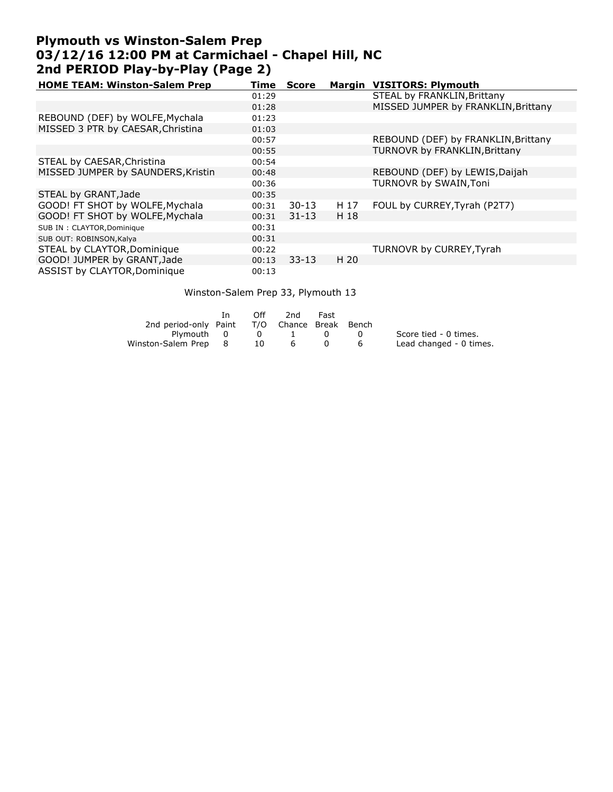## **Plymouth vs Winston-Salem Prep 03/12/16 12:00 PM at Carmichael - Chapel Hill, NC 2nd PERIOD Play-by-Play (Page 2)**

| <b>HOME TEAM: Winston-Salem Prep</b> | Time  | <b>Score</b> |      | Margin VISITORS: Plymouth            |
|--------------------------------------|-------|--------------|------|--------------------------------------|
|                                      | 01:29 |              |      | STEAL by FRANKLIN, Brittany          |
|                                      | 01:28 |              |      | MISSED JUMPER by FRANKLIN, Brittany  |
| REBOUND (DEF) by WOLFE, Mychala      | 01:23 |              |      |                                      |
| MISSED 3 PTR by CAESAR, Christina    | 01:03 |              |      |                                      |
|                                      | 00:57 |              |      | REBOUND (DEF) by FRANKLIN, Brittany  |
|                                      | 00:55 |              |      | <b>TURNOVR by FRANKLIN, Brittany</b> |
| STEAL by CAESAR, Christina           | 00:54 |              |      |                                      |
| MISSED JUMPER by SAUNDERS, Kristin   | 00:48 |              |      | REBOUND (DEF) by LEWIS, Daijah       |
|                                      | 00:36 |              |      | TURNOVR by SWAIN, Toni               |
| STEAL by GRANT, Jade                 | 00:35 |              |      |                                      |
| GOOD! FT SHOT by WOLFE, Mychala      | 00:31 | $30-13$      | H 17 | FOUL by CURREY, Tyrah (P2T7)         |
| GOOD! FT SHOT by WOLFE, Mychala      | 00:31 | $31 - 13$    | H 18 |                                      |
| SUB IN: CLAYTOR, Dominique           | 00:31 |              |      |                                      |
| SUB OUT: ROBINSON, Kalya             | 00:31 |              |      |                                      |
| STEAL by CLAYTOR, Dominique          | 00:22 |              |      | TURNOVR by CURREY, Tyrah             |
| GOOD! JUMPER by GRANT, Jade          | 00:13 | $33 - 13$    | H 20 |                                      |
| ASSIST by CLAYTOR, Dominique         | 00:13 |              |      |                                      |

#### Winston-Salem Prep 33, Plymouth 13

|                                              |   | Off. | 2nd                                      | Fast |     |                         |
|----------------------------------------------|---|------|------------------------------------------|------|-----|-------------------------|
| 2nd period-only Paint T/O Chance Break Bench |   |      |                                          |      |     |                         |
| Plymouth 0                                   |   |      | $\begin{array}{ccc} 0 & & 1 \end{array}$ |      | - 0 | Score tied - 0 times.   |
| Winston-Salem Prep                           | 8 | 10   | 6                                        |      | 6   | Lead changed - 0 times. |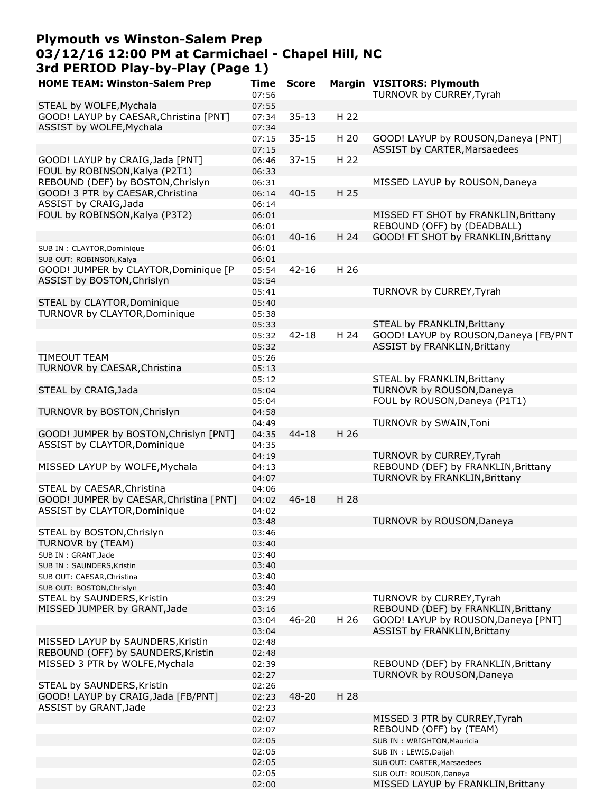# **Plymouth vs Winston-Salem Prep 03/12/16 12:00 PM at Carmichael - Chapel Hill, NC 3rd PERIOD Play-by-Play (Page 1)**

| <b>HOME TEAM: Winston-Salem Prep</b>    | Time  | <b>Score</b> |      | <b>Margin VISITORS: Plymouth</b>      |
|-----------------------------------------|-------|--------------|------|---------------------------------------|
|                                         | 07:56 |              |      | TURNOVR by CURREY, Tyrah              |
| STEAL by WOLFE, Mychala                 | 07:55 |              |      |                                       |
| GOOD! LAYUP by CAESAR, Christina [PNT]  | 07:34 | $35 - 13$    | H 22 |                                       |
| ASSIST by WOLFE, Mychala                | 07:34 |              |      |                                       |
|                                         | 07:15 | $35 - 15$    | H 20 | GOOD! LAYUP by ROUSON, Daneya [PNT]   |
|                                         | 07:15 |              |      | ASSIST by CARTER, Marsaedees          |
|                                         |       |              | H 22 |                                       |
| GOOD! LAYUP by CRAIG, Jada [PNT]        | 06:46 | $37 - 15$    |      |                                       |
| FOUL by ROBINSON, Kalya (P2T1)          | 06:33 |              |      |                                       |
| REBOUND (DEF) by BOSTON, Chrislyn       | 06:31 |              |      | MISSED LAYUP by ROUSON, Daneya        |
| GOOD! 3 PTR by CAESAR, Christina        | 06:14 | $40 - 15$    | H 25 |                                       |
| ASSIST by CRAIG, Jada                   | 06:14 |              |      |                                       |
| FOUL by ROBINSON, Kalya (P3T2)          | 06:01 |              |      | MISSED FT SHOT by FRANKLIN, Brittany  |
|                                         | 06:01 |              |      | REBOUND (OFF) by (DEADBALL)           |
|                                         | 06:01 | $40 - 16$    | H 24 | GOOD! FT SHOT by FRANKLIN, Brittany   |
| SUB IN: CLAYTOR, Dominique              | 06:01 |              |      |                                       |
| SUB OUT: ROBINSON, Kalya                | 06:01 |              |      |                                       |
| GOOD! JUMPER by CLAYTOR, Dominique [P   | 05:54 | $42 - 16$    | H 26 |                                       |
| ASSIST by BOSTON, Chrislyn              | 05:54 |              |      |                                       |
|                                         |       |              |      |                                       |
|                                         | 05:41 |              |      | TURNOVR by CURREY, Tyrah              |
| STEAL by CLAYTOR, Dominique             | 05:40 |              |      |                                       |
| TURNOVR by CLAYTOR, Dominique           | 05:38 |              |      |                                       |
|                                         | 05:33 |              |      | STEAL by FRANKLIN, Brittany           |
|                                         | 05:32 | $42 - 18$    | H 24 | GOOD! LAYUP by ROUSON, Daneya [FB/PNT |
|                                         | 05:32 |              |      | <b>ASSIST by FRANKLIN, Brittany</b>   |
| <b>TIMEOUT TEAM</b>                     | 05:26 |              |      |                                       |
| TURNOVR by CAESAR, Christina            | 05:13 |              |      |                                       |
|                                         | 05:12 |              |      | STEAL by FRANKLIN, Brittany           |
|                                         |       |              |      | TURNOVR by ROUSON, Daneya             |
| STEAL by CRAIG, Jada                    | 05:04 |              |      |                                       |
|                                         | 05:04 |              |      | FOUL by ROUSON, Daneya (P1T1)         |
| TURNOVR by BOSTON, Chrislyn             | 04:58 |              |      |                                       |
|                                         | 04:49 |              |      | TURNOVR by SWAIN, Toni                |
| GOOD! JUMPER by BOSTON, Chrislyn [PNT]  | 04:35 | $44 - 18$    | H 26 |                                       |
| ASSIST by CLAYTOR, Dominique            | 04:35 |              |      |                                       |
|                                         | 04:19 |              |      | TURNOVR by CURREY, Tyrah              |
| MISSED LAYUP by WOLFE, Mychala          | 04:13 |              |      | REBOUND (DEF) by FRANKLIN, Brittany   |
|                                         | 04:07 |              |      | TURNOVR by FRANKLIN, Brittany         |
| STEAL by CAESAR, Christina              | 04:06 |              |      |                                       |
| GOOD! JUMPER by CAESAR, Christina [PNT] | 04:02 | $46 - 18$    | H 28 |                                       |
| ASSIST by CLAYTOR, Dominique            | 04:02 |              |      |                                       |
|                                         |       |              |      |                                       |
|                                         | 03:48 |              |      | TURNOVR by ROUSON, Daneya             |
| STEAL by BOSTON, Chrislyn               | 03:46 |              |      |                                       |
| TURNOVR by (TEAM)                       | 03:40 |              |      |                                       |
| SUB IN: GRANT, Jade                     | 03:40 |              |      |                                       |
| SUB IN: SAUNDERS, Kristin               | 03:40 |              |      |                                       |
| SUB OUT: CAESAR, Christina              | 03:40 |              |      |                                       |
| SUB OUT: BOSTON, Chrislyn               | 03:40 |              |      |                                       |
| STEAL by SAUNDERS, Kristin              | 03:29 |              |      | TURNOVR by CURREY, Tyrah              |
| MISSED JUMPER by GRANT, Jade            | 03:16 |              |      | REBOUND (DEF) by FRANKLIN, Brittany   |
|                                         | 03:04 | $46 - 20$    | H 26 | GOOD! LAYUP by ROUSON, Daneya [PNT]   |
|                                         | 03:04 |              |      | <b>ASSIST by FRANKLIN, Brittany</b>   |
| MISSED LAYUP by SAUNDERS, Kristin       |       |              |      |                                       |
|                                         | 02:48 |              |      |                                       |
| REBOUND (OFF) by SAUNDERS, Kristin      | 02:48 |              |      |                                       |
| MISSED 3 PTR by WOLFE, Mychala          | 02:39 |              |      | REBOUND (DEF) by FRANKLIN, Brittany   |
|                                         | 02:27 |              |      | TURNOVR by ROUSON, Daneya             |
| STEAL by SAUNDERS, Kristin              | 02:26 |              |      |                                       |
| GOOD! LAYUP by CRAIG, Jada [FB/PNT]     | 02:23 | 48-20        | H 28 |                                       |
| ASSIST by GRANT, Jade                   | 02:23 |              |      |                                       |
|                                         | 02:07 |              |      | MISSED 3 PTR by CURREY, Tyrah         |
|                                         | 02:07 |              |      | REBOUND (OFF) by (TEAM)               |
|                                         | 02:05 |              |      | SUB IN : WRIGHTON, Mauricia           |
|                                         | 02:05 |              |      | SUB IN : LEWIS, Daijah                |
|                                         | 02:05 |              |      |                                       |
|                                         |       |              |      | SUB OUT: CARTER, Marsaedees           |
|                                         | 02:05 |              |      | SUB OUT: ROUSON, Daneya               |
|                                         | 02:00 |              |      | MISSED LAYUP by FRANKLIN, Brittany    |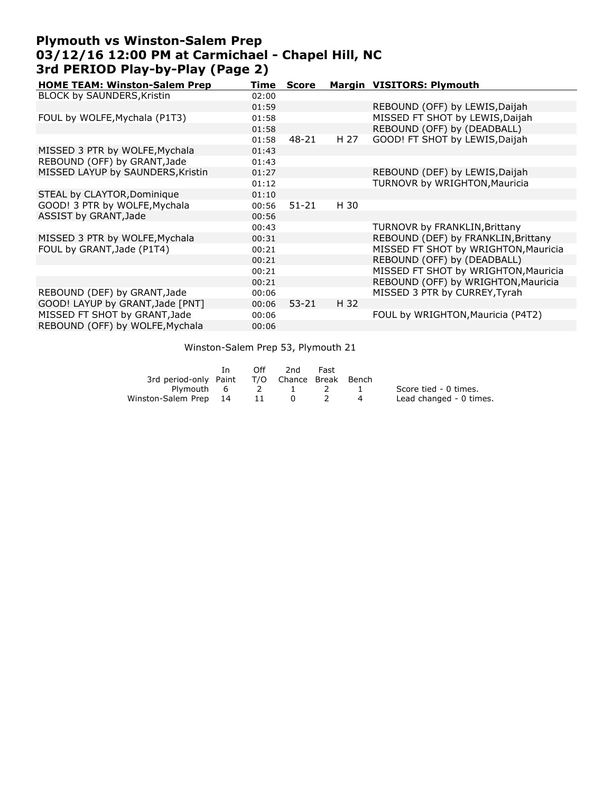#### **Plymouth vs Winston-Salem Prep 03/12/16 12:00 PM at Carmichael - Chapel Hill, NC 3rd PERIOD Play-by-Play (Page 2)**

| <b>HOME TEAM: Winston-Salem Prep</b> | Time  | <b>Score</b> |      | Margin VISITORS: Plymouth            |
|--------------------------------------|-------|--------------|------|--------------------------------------|
| <b>BLOCK by SAUNDERS, Kristin</b>    | 02:00 |              |      |                                      |
|                                      | 01:59 |              |      | REBOUND (OFF) by LEWIS, Daijah       |
| FOUL by WOLFE, Mychala (P1T3)        | 01:58 |              |      | MISSED FT SHOT by LEWIS, Daijah      |
|                                      | 01:58 |              |      | REBOUND (OFF) by (DEADBALL)          |
|                                      | 01:58 | 48-21        | H 27 | GOOD! FT SHOT by LEWIS, Daijah       |
| MISSED 3 PTR by WOLFE, Mychala       | 01:43 |              |      |                                      |
| REBOUND (OFF) by GRANT, Jade         | 01:43 |              |      |                                      |
| MISSED LAYUP by SAUNDERS, Kristin    | 01:27 |              |      | REBOUND (DEF) by LEWIS, Daijah       |
|                                      | 01:12 |              |      | TURNOVR by WRIGHTON, Mauricia        |
| STEAL by CLAYTOR, Dominique          | 01:10 |              |      |                                      |
| GOOD! 3 PTR by WOLFE, Mychala        | 00:56 | $51 - 21$    | H 30 |                                      |
| ASSIST by GRANT, Jade                | 00:56 |              |      |                                      |
|                                      | 00:43 |              |      | <b>TURNOVR by FRANKLIN, Brittany</b> |
| MISSED 3 PTR by WOLFE, Mychala       | 00:31 |              |      | REBOUND (DEF) by FRANKLIN, Brittany  |
| FOUL by GRANT, Jade (P1T4)           | 00:21 |              |      | MISSED FT SHOT by WRIGHTON, Mauricia |
|                                      | 00:21 |              |      | REBOUND (OFF) by (DEADBALL)          |
|                                      | 00:21 |              |      | MISSED FT SHOT by WRIGHTON, Mauricia |
|                                      | 00:21 |              |      | REBOUND (OFF) by WRIGHTON, Mauricia  |
| REBOUND (DEF) by GRANT, Jade         | 00:06 |              |      | MISSED 3 PTR by CURREY, Tyrah        |
| GOOD! LAYUP by GRANT, Jade [PNT]     | 00:06 | $53 - 21$    | H 32 |                                      |
| MISSED FT SHOT by GRANT, Jade        | 00:06 |              |      | FOUL by WRIGHTON, Mauricia (P4T2)    |
| REBOUND (OFF) by WOLFE, Mychala      | 00:06 |              |      |                                      |
|                                      |       |              |      |                                      |

#### Winston-Salem Prep 53, Plymouth 21

|                          | In. | Off | 2nd                    | Fast |    |                         |
|--------------------------|-----|-----|------------------------|------|----|-------------------------|
| 3rd period-only Paint    |     |     | T/O Chance Break Bench |      |    |                         |
| Plymouth 6 2 1           |     |     |                        | 2 1  |    | Score tied - 0 times.   |
| Winston-Salem Prep 14 11 |     |     | $\mathbf{0}$           |      | -4 | Lead changed - 0 times. |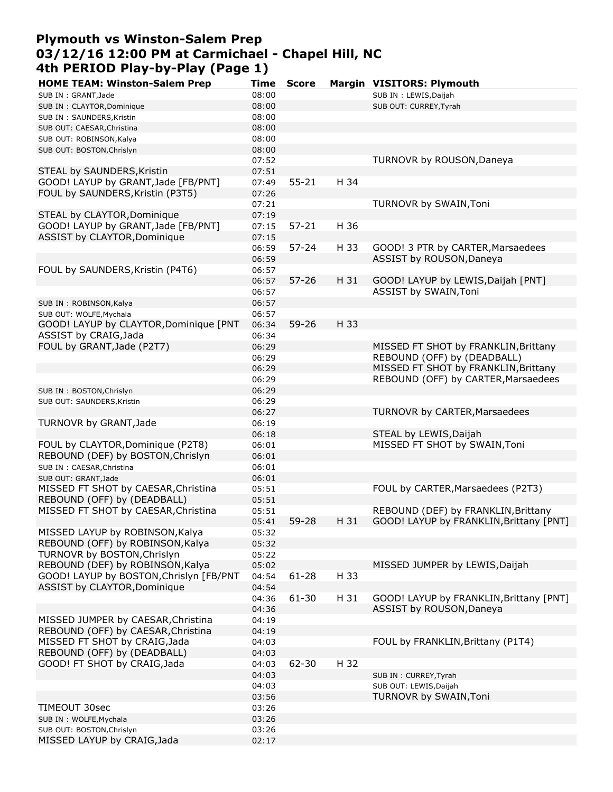## **Plymouth vs Winston-Salem Prep 03/12/16 12:00 PM at Carmichael - Chapel Hill, NC 4th PERIOD Play-by-Play (Page 1)**

| <b>HOME TEAM: Winston-Salem Prep</b><br>SUB IN: GRANT, Jade | Time<br>08:00 | <b>Score</b> |      | Margin VISITORS: Plymouth<br>SUB IN : LEWIS, Daijah |
|-------------------------------------------------------------|---------------|--------------|------|-----------------------------------------------------|
|                                                             | 08:00         |              |      | SUB OUT: CURREY, Tyrah                              |
| SUB IN : CLAYTOR, Dominique                                 | 08:00         |              |      |                                                     |
| SUB IN: SAUNDERS, Kristin<br>SUB OUT: CAESAR, Christina     | 08:00         |              |      |                                                     |
| SUB OUT: ROBINSON, Kalya                                    | 08:00         |              |      |                                                     |
|                                                             | 08:00         |              |      |                                                     |
| SUB OUT: BOSTON, Chrislyn                                   | 07:52         |              |      | TURNOVR by ROUSON, Daneya                           |
| STEAL by SAUNDERS, Kristin                                  | 07:51         |              |      |                                                     |
| GOOD! LAYUP by GRANT, Jade [FB/PNT]                         | 07:49         | $55 - 21$    | H 34 |                                                     |
| FOUL by SAUNDERS, Kristin (P3T5)                            | 07:26         |              |      |                                                     |
|                                                             | 07:21         |              |      | TURNOVR by SWAIN, Toni                              |
| STEAL by CLAYTOR, Dominique                                 | 07:19         |              |      |                                                     |
| GOOD! LAYUP by GRANT, Jade [FB/PNT]                         | 07:15         | $57 - 21$    | H 36 |                                                     |
| ASSIST by CLAYTOR, Dominique                                | 07:15         |              |      |                                                     |
|                                                             | 06:59         | $57 - 24$    | H 33 | GOOD! 3 PTR by CARTER, Marsaedees                   |
|                                                             | 06:59         |              |      | ASSIST by ROUSON, Daneya                            |
| FOUL by SAUNDERS, Kristin (P4T6)                            | 06:57         |              |      |                                                     |
|                                                             | 06:57         | $57 - 26$    | H 31 | GOOD! LAYUP by LEWIS, Daijah [PNT]                  |
|                                                             | 06:57         |              |      | ASSIST by SWAIN, Toni                               |
| SUB IN: ROBINSON, Kalya                                     | 06:57         |              |      |                                                     |
| SUB OUT: WOLFE, Mychala                                     | 06:57         |              |      |                                                     |
| GOOD! LAYUP by CLAYTOR, Dominique [PNT                      | 06:34         | $59 - 26$    | H 33 |                                                     |
| ASSIST by CRAIG, Jada                                       | 06:34         |              |      |                                                     |
| FOUL by GRANT, Jade (P2T7)                                  | 06:29         |              |      | MISSED FT SHOT by FRANKLIN, Brittany                |
|                                                             | 06:29         |              |      | REBOUND (OFF) by (DEADBALL)                         |
|                                                             | 06:29         |              |      | MISSED FT SHOT by FRANKLIN, Brittany                |
|                                                             | 06:29         |              |      | REBOUND (OFF) by CARTER, Marsaedees                 |
| SUB IN: BOSTON, Chrislyn                                    | 06:29         |              |      |                                                     |
| SUB OUT: SAUNDERS, Kristin                                  | 06:29         |              |      |                                                     |
|                                                             | 06:27         |              |      | TURNOVR by CARTER, Marsaedees                       |
| TURNOVR by GRANT, Jade                                      | 06:19         |              |      |                                                     |
|                                                             | 06:18         |              |      | STEAL by LEWIS, Daijah                              |
| FOUL by CLAYTOR, Dominique (P2T8)                           | 06:01         |              |      | MISSED FT SHOT by SWAIN, Toni                       |
| REBOUND (DEF) by BOSTON, Chrislyn                           | 06:01         |              |      |                                                     |
| SUB IN : CAESAR, Christina                                  | 06:01         |              |      |                                                     |
| SUB OUT: GRANT, Jade                                        | 06:01         |              |      |                                                     |
| MISSED FT SHOT by CAESAR, Christina                         | 05:51         |              |      | FOUL by CARTER, Marsaedees (P2T3)                   |
| REBOUND (OFF) by (DEADBALL)                                 | 05:51         |              |      |                                                     |
| MISSED FT SHOT by CAESAR, Christina                         | 05:51         |              |      | REBOUND (DEF) by FRANKLIN, Brittany                 |
|                                                             | 05:41         | $59 - 28$    |      | H 31 GOOD! LAYUP by FRANKLIN, Brittany [PNT]        |
| MISSED LAYUP by ROBINSON, Kalya                             | 05:32         |              |      |                                                     |
| REBOUND (OFF) by ROBINSON, Kalya                            | 05:32         |              |      |                                                     |
| TURNOVR by BOSTON, Chrislyn                                 | 05:22         |              |      |                                                     |
| REBOUND (DEF) by ROBINSON, Kalya                            | 05:02         |              |      | MISSED JUMPER by LEWIS, Daijah                      |
| GOOD! LAYUP by BOSTON, Chrislyn [FB/PNT                     | 04:54         | $61 - 28$    | H 33 |                                                     |
| ASSIST by CLAYTOR, Dominique                                | 04:54         |              |      |                                                     |
|                                                             | 04:36         | 61-30        | H 31 | GOOD! LAYUP by FRANKLIN, Brittany [PNT]             |
|                                                             | 04:36         |              |      | ASSIST by ROUSON, Daneya                            |
| MISSED JUMPER by CAESAR, Christina                          | 04:19         |              |      |                                                     |
| REBOUND (OFF) by CAESAR, Christina                          | 04:19         |              |      |                                                     |
| MISSED FT SHOT by CRAIG, Jada                               | 04:03         |              |      | FOUL by FRANKLIN, Brittany (P1T4)                   |
| REBOUND (OFF) by (DEADBALL)                                 | 04:03         |              |      |                                                     |
| GOOD! FT SHOT by CRAIG, Jada                                | 04:03         | 62-30        | H 32 |                                                     |
|                                                             | 04:03         |              |      | SUB IN: CURREY, Tyrah                               |
|                                                             | 04:03         |              |      | SUB OUT: LEWIS, Daijah                              |
|                                                             | 03:56         |              |      | TURNOVR by SWAIN, Toni                              |
| TIMEOUT 30sec                                               | 03:26         |              |      |                                                     |
| SUB IN: WOLFE, Mychala                                      | 03:26         |              |      |                                                     |
| SUB OUT: BOSTON, Chrislyn                                   | 03:26         |              |      |                                                     |
| MISSED LAYUP by CRAIG, Jada                                 | 02:17         |              |      |                                                     |
|                                                             |               |              |      |                                                     |